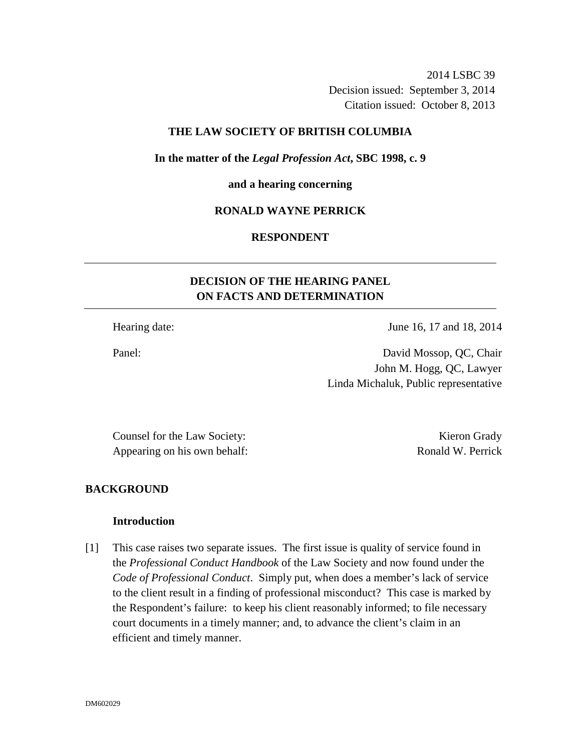2014 LSBC 39 Decision issued: September 3, 2014 Citation issued: October 8, 2013

### **THE LAW SOCIETY OF BRITISH COLUMBIA**

**In the matter of the** *Legal Profession Act***, SBC 1998, c. 9** 

**and a hearing concerning** 

# **RONALD WAYNE PERRICK**

# **RESPONDENT**

# **DECISION OF THE HEARING PANEL ON FACTS AND DETERMINATION**

Hearing date: June 16, 17 and 18, 2014

Panel: David Mossop, QC, Chair John M. Hogg, QC, Lawyer Linda Michaluk, Public representative

Counsel for the Law Society: Kieron Grady Appearing on his own behalf: Ronald W. Perrick

# **BACKGROUND**

#### **Introduction**

[1] This case raises two separate issues. The first issue is quality of service found in the *Professional Conduct Handbook* of the Law Society and now found under the *Code of Professional Conduct*. Simply put, when does a member's lack of service to the client result in a finding of professional misconduct? This case is marked by the Respondent's failure: to keep his client reasonably informed; to file necessary court documents in a timely manner; and, to advance the client's claim in an efficient and timely manner.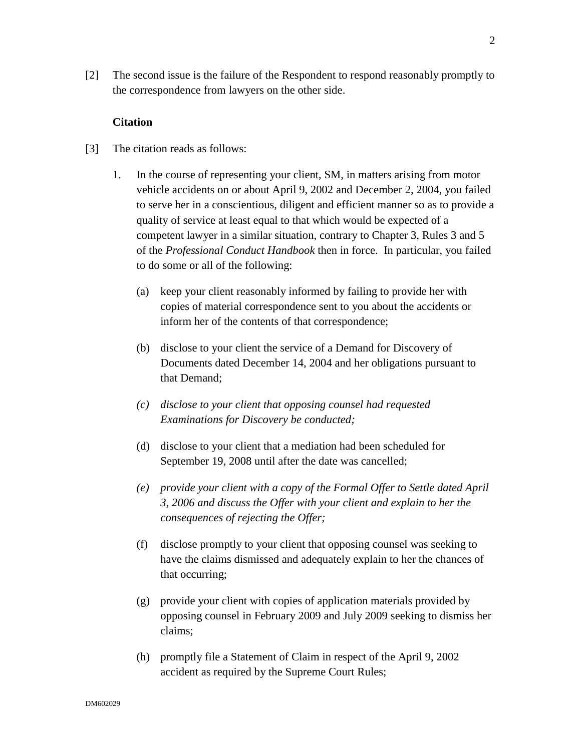[2] The second issue is the failure of the Respondent to respond reasonably promptly to the correspondence from lawyers on the other side.

#### **Citation**

- [3] The citation reads as follows:
	- 1. In the course of representing your client, SM, in matters arising from motor vehicle accidents on or about April 9, 2002 and December 2, 2004, you failed to serve her in a conscientious, diligent and efficient manner so as to provide a quality of service at least equal to that which would be expected of a competent lawyer in a similar situation, contrary to Chapter 3, Rules 3 and 5 of the *Professional Conduct Handbook* then in force. In particular, you failed to do some or all of the following:
		- (a) keep your client reasonably informed by failing to provide her with copies of material correspondence sent to you about the accidents or inform her of the contents of that correspondence;
		- (b) disclose to your client the service of a Demand for Discovery of Documents dated December 14, 2004 and her obligations pursuant to that Demand;
		- *(c) disclose to your client that opposing counsel had requested Examinations for Discovery be conducted;*
		- (d) disclose to your client that a mediation had been scheduled for September 19, 2008 until after the date was cancelled;
		- *(e) provide your client with a copy of the Formal Offer to Settle dated April 3, 2006 and discuss the Offer with your client and explain to her the consequences of rejecting the Offer;*
		- (f) disclose promptly to your client that opposing counsel was seeking to have the claims dismissed and adequately explain to her the chances of that occurring;
		- (g) provide your client with copies of application materials provided by opposing counsel in February 2009 and July 2009 seeking to dismiss her claims;
		- (h) promptly file a Statement of Claim in respect of the April 9, 2002 accident as required by the Supreme Court Rules;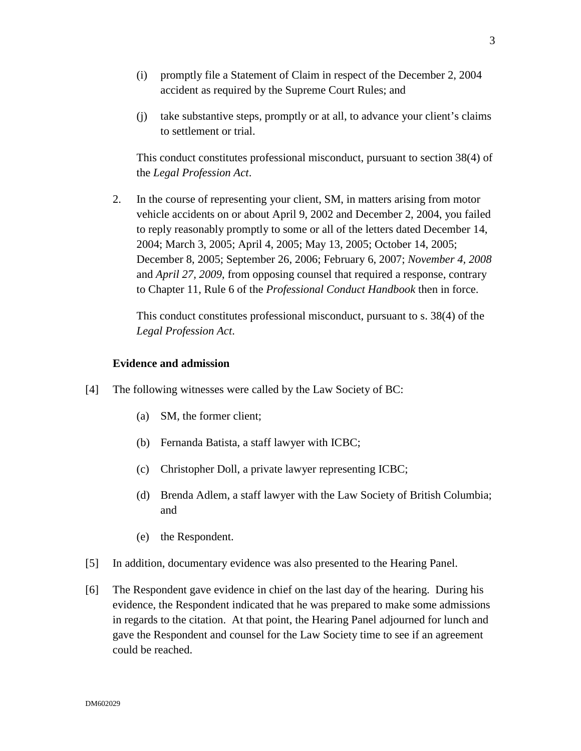- (i) promptly file a Statement of Claim in respect of the December 2, 2004 accident as required by the Supreme Court Rules; and
- (j) take substantive steps, promptly or at all, to advance your client's claims to settlement or trial.

This conduct constitutes professional misconduct, pursuant to section 38(4) of the *Legal Profession Act*.

2. In the course of representing your client, SM, in matters arising from motor vehicle accidents on or about April 9, 2002 and December 2, 2004, you failed to reply reasonably promptly to some or all of the letters dated December 14, 2004; March 3, 2005; April 4, 2005; May 13, 2005; October 14, 2005; December 8, 2005; September 26, 2006; February 6, 2007; *November 4, 2008* and *April 27, 2009*, from opposing counsel that required a response, contrary to Chapter 11, Rule 6 of the *Professional Conduct Handbook* then in force.

This conduct constitutes professional misconduct, pursuant to s. 38(4) of the *Legal Profession Act*.

### **Evidence and admission**

- [4] The following witnesses were called by the Law Society of BC:
	- (a) SM, the former client;
	- (b) Fernanda Batista, a staff lawyer with ICBC;
	- (c) Christopher Doll, a private lawyer representing ICBC;
	- (d) Brenda Adlem, a staff lawyer with the Law Society of British Columbia; and
	- (e) the Respondent.
- [5] In addition, documentary evidence was also presented to the Hearing Panel.
- [6] The Respondent gave evidence in chief on the last day of the hearing. During his evidence, the Respondent indicated that he was prepared to make some admissions in regards to the citation. At that point, the Hearing Panel adjourned for lunch and gave the Respondent and counsel for the Law Society time to see if an agreement could be reached.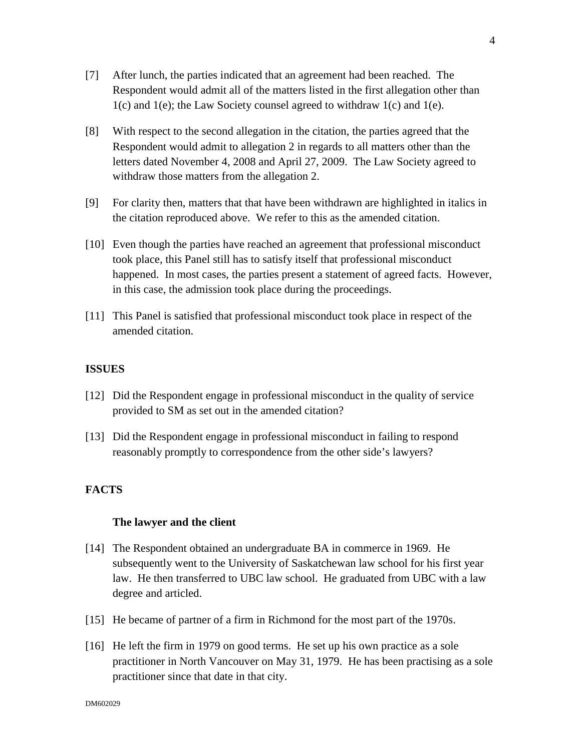- [7] After lunch, the parties indicated that an agreement had been reached. The Respondent would admit all of the matters listed in the first allegation other than 1(c) and 1(e); the Law Society counsel agreed to withdraw 1(c) and 1(e).
- [8] With respect to the second allegation in the citation, the parties agreed that the Respondent would admit to allegation 2 in regards to all matters other than the letters dated November 4, 2008 and April 27, 2009. The Law Society agreed to withdraw those matters from the allegation 2.
- [9] For clarity then, matters that that have been withdrawn are highlighted in italics in the citation reproduced above. We refer to this as the amended citation.
- [10] Even though the parties have reached an agreement that professional misconduct took place, this Panel still has to satisfy itself that professional misconduct happened. In most cases, the parties present a statement of agreed facts. However, in this case, the admission took place during the proceedings.
- [11] This Panel is satisfied that professional misconduct took place in respect of the amended citation.

### **ISSUES**

- [12] Did the Respondent engage in professional misconduct in the quality of service provided to SM as set out in the amended citation?
- [13] Did the Respondent engage in professional misconduct in failing to respond reasonably promptly to correspondence from the other side's lawyers?

# **FACTS**

#### **The lawyer and the client**

- [14] The Respondent obtained an undergraduate BA in commerce in 1969. He subsequently went to the University of Saskatchewan law school for his first year law. He then transferred to UBC law school. He graduated from UBC with a law degree and articled.
- [15] He became of partner of a firm in Richmond for the most part of the 1970s.
- [16] He left the firm in 1979 on good terms. He set up his own practice as a sole practitioner in North Vancouver on May 31, 1979. He has been practising as a sole practitioner since that date in that city.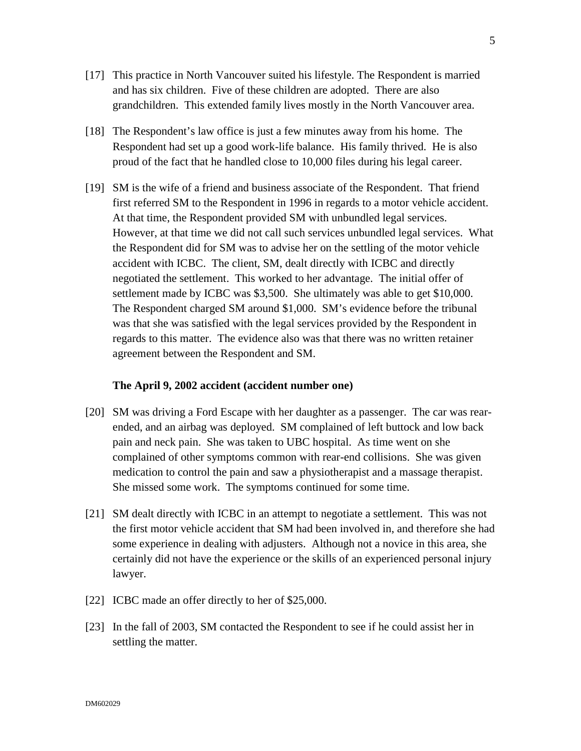- [17] This practice in North Vancouver suited his lifestyle. The Respondent is married and has six children. Five of these children are adopted. There are also grandchildren. This extended family lives mostly in the North Vancouver area.
- [18] The Respondent's law office is just a few minutes away from his home. The Respondent had set up a good work-life balance. His family thrived. He is also proud of the fact that he handled close to 10,000 files during his legal career.
- [19] SM is the wife of a friend and business associate of the Respondent. That friend first referred SM to the Respondent in 1996 in regards to a motor vehicle accident. At that time, the Respondent provided SM with unbundled legal services. However, at that time we did not call such services unbundled legal services. What the Respondent did for SM was to advise her on the settling of the motor vehicle accident with ICBC. The client, SM, dealt directly with ICBC and directly negotiated the settlement. This worked to her advantage. The initial offer of settlement made by ICBC was \$3,500. She ultimately was able to get \$10,000. The Respondent charged SM around \$1,000. SM's evidence before the tribunal was that she was satisfied with the legal services provided by the Respondent in regards to this matter. The evidence also was that there was no written retainer agreement between the Respondent and SM.

#### **The April 9, 2002 accident (accident number one)**

- [20] SM was driving a Ford Escape with her daughter as a passenger. The car was rearended, and an airbag was deployed. SM complained of left buttock and low back pain and neck pain. She was taken to UBC hospital. As time went on she complained of other symptoms common with rear-end collisions. She was given medication to control the pain and saw a physiotherapist and a massage therapist. She missed some work. The symptoms continued for some time.
- [21] SM dealt directly with ICBC in an attempt to negotiate a settlement. This was not the first motor vehicle accident that SM had been involved in, and therefore she had some experience in dealing with adjusters. Although not a novice in this area, she certainly did not have the experience or the skills of an experienced personal injury lawyer.
- [22] ICBC made an offer directly to her of \$25,000.
- [23] In the fall of 2003, SM contacted the Respondent to see if he could assist her in settling the matter.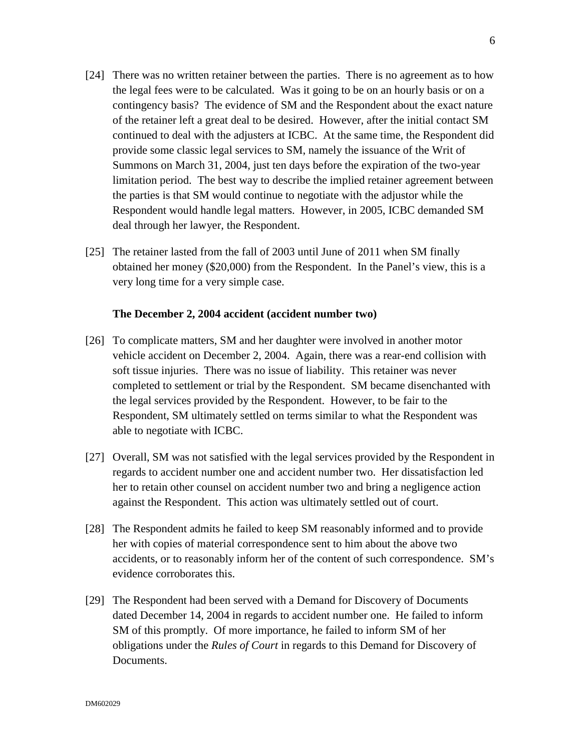- [24] There was no written retainer between the parties. There is no agreement as to how the legal fees were to be calculated. Was it going to be on an hourly basis or on a contingency basis? The evidence of SM and the Respondent about the exact nature of the retainer left a great deal to be desired. However, after the initial contact SM continued to deal with the adjusters at ICBC. At the same time, the Respondent did provide some classic legal services to SM, namely the issuance of the Writ of Summons on March 31, 2004, just ten days before the expiration of the two-year limitation period. The best way to describe the implied retainer agreement between the parties is that SM would continue to negotiate with the adjustor while the Respondent would handle legal matters. However, in 2005, ICBC demanded SM deal through her lawyer, the Respondent.
- [25] The retainer lasted from the fall of 2003 until June of 2011 when SM finally obtained her money (\$20,000) from the Respondent. In the Panel's view, this is a very long time for a very simple case.

#### **The December 2, 2004 accident (accident number two)**

- [26] To complicate matters, SM and her daughter were involved in another motor vehicle accident on December 2, 2004. Again, there was a rear-end collision with soft tissue injuries. There was no issue of liability. This retainer was never completed to settlement or trial by the Respondent. SM became disenchanted with the legal services provided by the Respondent. However, to be fair to the Respondent, SM ultimately settled on terms similar to what the Respondent was able to negotiate with ICBC.
- [27] Overall, SM was not satisfied with the legal services provided by the Respondent in regards to accident number one and accident number two. Her dissatisfaction led her to retain other counsel on accident number two and bring a negligence action against the Respondent. This action was ultimately settled out of court.
- [28] The Respondent admits he failed to keep SM reasonably informed and to provide her with copies of material correspondence sent to him about the above two accidents, or to reasonably inform her of the content of such correspondence. SM's evidence corroborates this.
- [29] The Respondent had been served with a Demand for Discovery of Documents dated December 14, 2004 in regards to accident number one. He failed to inform SM of this promptly. Of more importance, he failed to inform SM of her obligations under the *Rules of Court* in regards to this Demand for Discovery of Documents.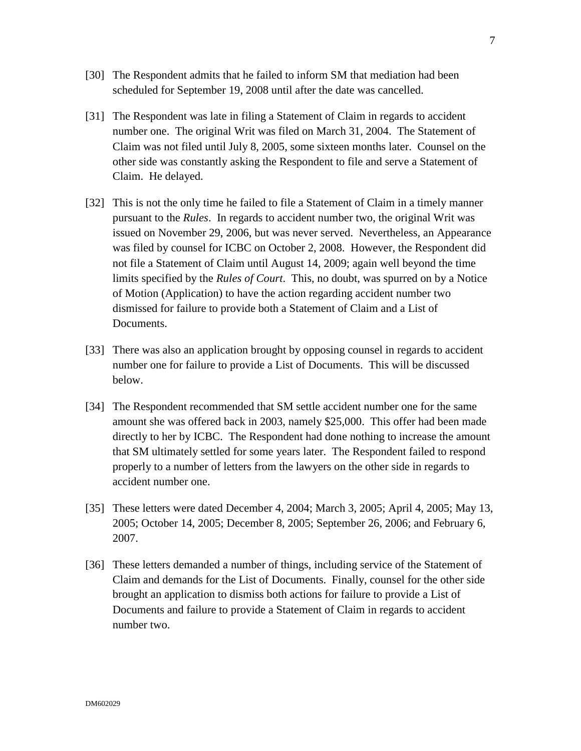- [30] The Respondent admits that he failed to inform SM that mediation had been scheduled for September 19, 2008 until after the date was cancelled.
- [31] The Respondent was late in filing a Statement of Claim in regards to accident number one. The original Writ was filed on March 31, 2004. The Statement of Claim was not filed until July 8, 2005, some sixteen months later. Counsel on the other side was constantly asking the Respondent to file and serve a Statement of Claim. He delayed.
- [32] This is not the only time he failed to file a Statement of Claim in a timely manner pursuant to the *Rules*. In regards to accident number two, the original Writ was issued on November 29, 2006, but was never served. Nevertheless, an Appearance was filed by counsel for ICBC on October 2, 2008. However, the Respondent did not file a Statement of Claim until August 14, 2009; again well beyond the time limits specified by the *Rules of Court*. This, no doubt, was spurred on by a Notice of Motion (Application) to have the action regarding accident number two dismissed for failure to provide both a Statement of Claim and a List of Documents.
- [33] There was also an application brought by opposing counsel in regards to accident number one for failure to provide a List of Documents. This will be discussed below.
- [34] The Respondent recommended that SM settle accident number one for the same amount she was offered back in 2003, namely \$25,000. This offer had been made directly to her by ICBC. The Respondent had done nothing to increase the amount that SM ultimately settled for some years later. The Respondent failed to respond properly to a number of letters from the lawyers on the other side in regards to accident number one.
- [35] These letters were dated December 4, 2004; March 3, 2005; April 4, 2005; May 13, 2005; October 14, 2005; December 8, 2005; September 26, 2006; and February 6, 2007.
- [36] These letters demanded a number of things, including service of the Statement of Claim and demands for the List of Documents. Finally, counsel for the other side brought an application to dismiss both actions for failure to provide a List of Documents and failure to provide a Statement of Claim in regards to accident number two.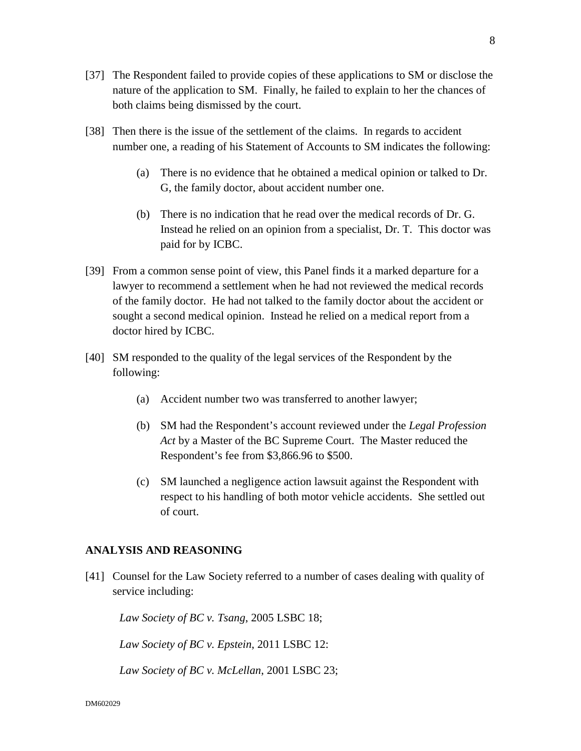- [38] Then there is the issue of the settlement of the claims. In regards to accident number one, a reading of his Statement of Accounts to SM indicates the following:
	- (a) There is no evidence that he obtained a medical opinion or talked to Dr. G, the family doctor, about accident number one.
	- (b) There is no indication that he read over the medical records of Dr. G. Instead he relied on an opinion from a specialist, Dr. T. This doctor was paid for by ICBC.
- [39] From a common sense point of view, this Panel finds it a marked departure for a lawyer to recommend a settlement when he had not reviewed the medical records of the family doctor. He had not talked to the family doctor about the accident or sought a second medical opinion. Instead he relied on a medical report from a doctor hired by ICBC.
- [40] SM responded to the quality of the legal services of the Respondent by the following:
	- (a) Accident number two was transferred to another lawyer;
	- (b) SM had the Respondent's account reviewed under the *Legal Profession Act* by a Master of the BC Supreme Court. The Master reduced the Respondent's fee from \$3,866.96 to \$500.
	- (c) SM launched a negligence action lawsuit against the Respondent with respect to his handling of both motor vehicle accidents. She settled out of court.

# **ANALYSIS AND REASONING**

[41] Counsel for the Law Society referred to a number of cases dealing with quality of service including:

*Law Society of BC v. Tsang*, 2005 LSBC 18;

*Law Society of BC v. Epstein*, 2011 LSBC 12:

*Law Society of BC v. McLellan*, 2001 LSBC 23;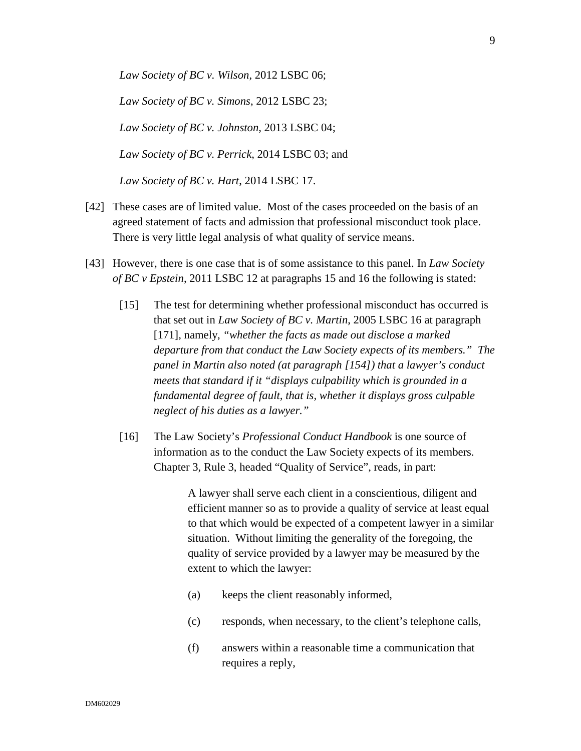*Law Society of BC v. Wilson*, 2012 LSBC 06;

*Law Society of BC v. Simons*, 2012 LSBC 23;

*Law Society of BC v. Johnston*, 2013 LSBC 04;

*Law Society of BC v. Perrick*, 2014 LSBC 03; and

*Law Society of BC v. Hart*, 2014 LSBC 17.

- [42] These cases are of limited value. Most of the cases proceeded on the basis of an agreed statement of facts and admission that professional misconduct took place. There is very little legal analysis of what quality of service means.
- [43] However, there is one case that is of some assistance to this panel. In *Law Society of BC v Epstein*, 2011 LSBC 12 at paragraphs 15 and 16 the following is stated:
	- [15] The test for determining whether professional misconduct has occurred is that set out in *Law Society of BC v. Martin*, 2005 LSBC 16 at paragraph [171], namely, *"whether the facts as made out disclose a marked departure from that conduct the Law Society expects of its members." The panel in Martin also noted (at paragraph [154]) that a lawyer's conduct meets that standard if it "displays culpability which is grounded in a fundamental degree of fault, that is, whether it displays gross culpable neglect of his duties as a lawyer."*
	- [16] The Law Society's *Professional Conduct Handbook* is one source of information as to the conduct the Law Society expects of its members. Chapter 3, Rule 3, headed "Quality of Service", reads, in part:

A lawyer shall serve each client in a conscientious, diligent and efficient manner so as to provide a quality of service at least equal to that which would be expected of a competent lawyer in a similar situation. Without limiting the generality of the foregoing, the quality of service provided by a lawyer may be measured by the extent to which the lawyer:

- (a) keeps the client reasonably informed,
- (c) responds, when necessary, to the client's telephone calls,
- (f) answers within a reasonable time a communication that requires a reply,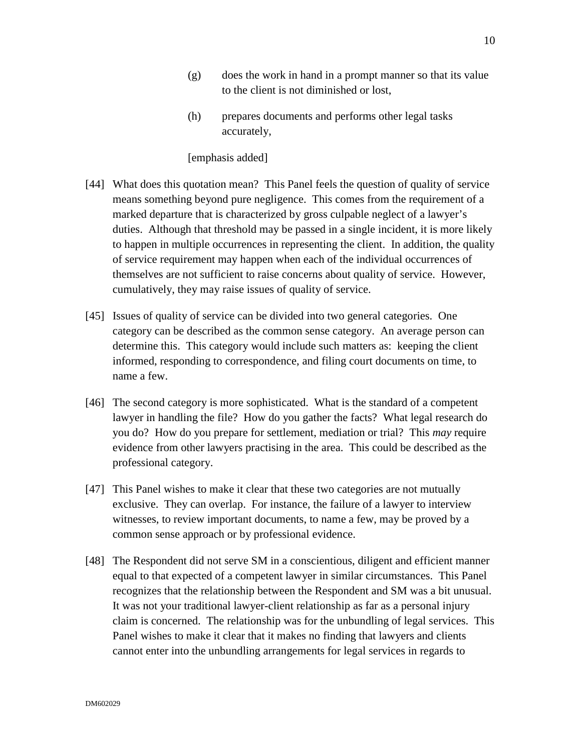- (g) does the work in hand in a prompt manner so that its value to the client is not diminished or lost,
- (h) prepares documents and performs other legal tasks accurately,

#### [emphasis added]

- [44] What does this quotation mean? This Panel feels the question of quality of service means something beyond pure negligence. This comes from the requirement of a marked departure that is characterized by gross culpable neglect of a lawyer's duties. Although that threshold may be passed in a single incident, it is more likely to happen in multiple occurrences in representing the client. In addition, the quality of service requirement may happen when each of the individual occurrences of themselves are not sufficient to raise concerns about quality of service. However, cumulatively, they may raise issues of quality of service.
- [45] Issues of quality of service can be divided into two general categories. One category can be described as the common sense category. An average person can determine this. This category would include such matters as: keeping the client informed, responding to correspondence, and filing court documents on time, to name a few.
- [46] The second category is more sophisticated. What is the standard of a competent lawyer in handling the file? How do you gather the facts? What legal research do you do? How do you prepare for settlement, mediation or trial? This *may* require evidence from other lawyers practising in the area. This could be described as the professional category.
- [47] This Panel wishes to make it clear that these two categories are not mutually exclusive. They can overlap. For instance, the failure of a lawyer to interview witnesses, to review important documents, to name a few, may be proved by a common sense approach or by professional evidence.
- [48] The Respondent did not serve SM in a conscientious, diligent and efficient manner equal to that expected of a competent lawyer in similar circumstances. This Panel recognizes that the relationship between the Respondent and SM was a bit unusual. It was not your traditional lawyer-client relationship as far as a personal injury claim is concerned. The relationship was for the unbundling of legal services. This Panel wishes to make it clear that it makes no finding that lawyers and clients cannot enter into the unbundling arrangements for legal services in regards to